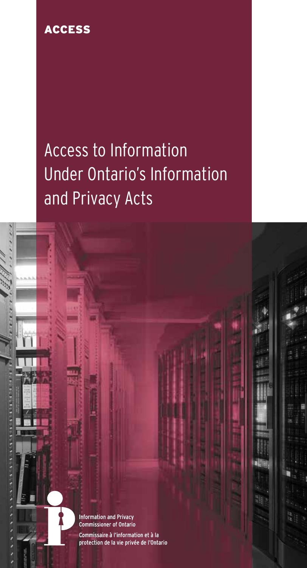# ACCESS

# Access to Information Under Ontario's Information and Privacy Acts

**Information and Privacy Commissioner of Ontario** 

Commissaire à l'information et à la protection de la vie privée de l'Ontario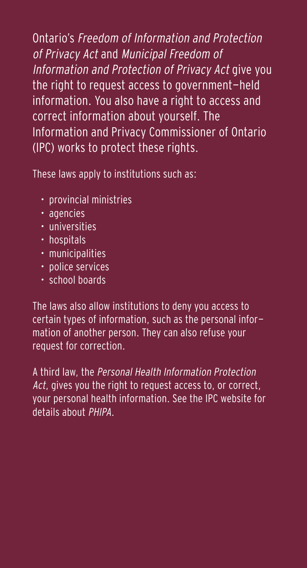Ontario's Freedom of Information and Protection of Privacy Act and Municipal Freedom of Information and Protection of Privacy Act give you the right to request access to government-held information. You also have a right to access and correct information about yourself. The Information and Privacy Commissioner of Ontario (IPC) works to protect these rights.

These laws apply to institutions such as:

- provincial ministries
- agencies
- universities
- hospitals
- municipalities
- police services
- school boards

The laws also allow institutions to deny you access to certain types of information, such as the personal information of another person. They can also refuse your request for correction.

A third law, the Personal Health Information Protection Act, gives you the right to request access to, or correct, your personal health information. See the IPC website for details about PHIPA.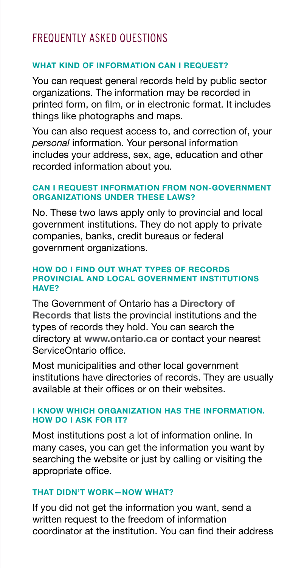# FREQUENTLY ASKED QUESTIONS

# **WHAT KIND OF INFORMATION CAN I REQUEST?**

You can request general records held by public sector organizations. The information may be recorded in printed form, on film, or in electronic format. It includes things like photographs and maps.

You can also request access to, and correction of, your *personal* information. Your personal information includes your address, sex, age, education and other recorded information about you.

## **CAN I REQUEST INFORMATION FROM NON-GOVERNMENT ORGANIZATIONS UNDER THESE LAWS?**

No. These two laws apply only to provincial and local government institutions. They do not apply to private companies, banks, credit bureaus or federal government organizations.

#### **HOW DO I FIND OUT WHAT TYPES OF RECORDS PROVINCIAL AND LOCAL GOVERNMENT INSTITUTIONS HAVE?**

The Government of Ontario has a **[Directory of](https://www.ontario.ca/document/directory-records)  [Records](https://www.ontario.ca/document/directory-records)** that lists the provincial institutions and the types of records they hold. You can search the directory at **[www.ontario.ca](http://www.ontario.ca/)** or contact your nearest ServiceOntario office.

Most municipalities and other local government institutions have directories of records. They are usually available at their offices or on their websites.

#### **I KNOW WHICH ORGANIZATION HAS THE INFORMATION. HOW DO I ASK FOR IT?**

Most institutions post a lot of information online. In many cases, you can get the information you want by searching the website or just by calling or visiting the appropriate office.

## **THAT DIDN'T WORK—NOW WHAT?**

If you did not get the information you want, send a written request to the freedom of information coordinator at the institution. You can find their address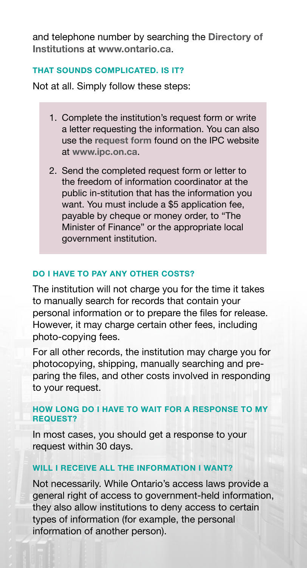and telephone number by searching the **[Directory of](https://www.ontario.ca/page/directory-institutions)  [Institutions](https://www.ontario.ca/page/directory-institutions)** at **[www.ontario.ca](http://www.ontario.ca/)**.

#### **THAT SOUNDS COMPLICATED. IS IT?**

Not at all. Simply follow these steps:

- 1. Complete the institution's request form or write a letter requesting the information. You can also use the **[request form](https://www.ipc.on.ca/wp-content/uploads/Resources/up-1request.pdf)** found on the IPC website at **[www.ipc.on.ca](http://www.ipc.on.ca/)**.
- 2. Send the completed request form or letter to the freedom of information coordinator at the public in-stitution that has the information you want. You must include a \$5 application fee, payable by cheque or money order, to "The Minister of Finance" or the appropriate local government institution.

#### **DO I HAVE TO PAY ANY OTHER COSTS?**

The institution will not charge you for the time it takes to manually search for records that contain your personal information or to prepare the files for release. However, it may charge certain other fees, including photo-copying fees.

For all other records, the institution may charge you for photocopying, shipping, manually searching and preparing the files, and other costs involved in responding to your request.

#### **HOW LONG DO I HAVE TO WAIT FOR A RESPONSE TO MY REQUEST?**

In most cases, you should get a response to your request within 30 days.

## **WILL I RECEIVE ALL THE INFORMATION I WANT?**

Not necessarily. While Ontario's access laws provide a general right of access to government-held information, they also allow institutions to deny access to certain types of information (for example, the personal information of another person).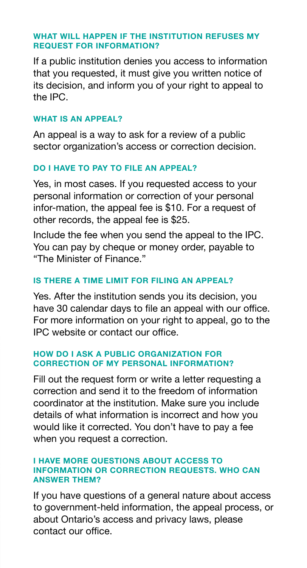#### **WHAT WILL HAPPEN IF THE INSTITUTION REFUSES MY REQUEST FOR INFORMATION?**

If a public institution denies you access to information that you requested, it must give you written notice of its decision, and inform you of your right to appeal to the IPC.

## **WHAT IS AN APPEAL?**

An appeal is a way to ask for a review of a public sector organization's access or correction decision.

# **DO I HAVE TO PAY TO FILE AN APPEAL?**

Yes, in most cases. If you requested access to your personal information or correction of your personal infor-mation, the appeal fee is \$10. For a request of other records, the appeal fee is \$25.

Include the fee when you send the appeal to the IPC. You can pay by cheque or money order, payable to "The Minister of Finance."

# **IS THERE A TIME LIMIT FOR FILING AN APPEAL?**

Yes. After the institution sends you its decision, you have 30 calendar days to file an appeal with our office. For more information on your right to appeal, go to the IPC website or contact our office.

#### **HOW DO I ASK A PUBLIC ORGANIZATION FOR CORRECTION OF MY PERSONAL INFORMATION?**

Fill out the request form or write a letter requesting a correction and send it to the freedom of information coordinator at the institution. Make sure you include details of what information is incorrect and how you would like it corrected. You don't have to pay a fee when you request a correction.

#### **I HAVE MORE QUESTIONS ABOUT ACCESS TO INFORMATION OR CORRECTION REQUESTS. WHO CAN ANSWER THEM?**

If you have questions of a general nature about access to government-held information, the appeal process, or about Ontario's access and privacy laws, please contact our office.